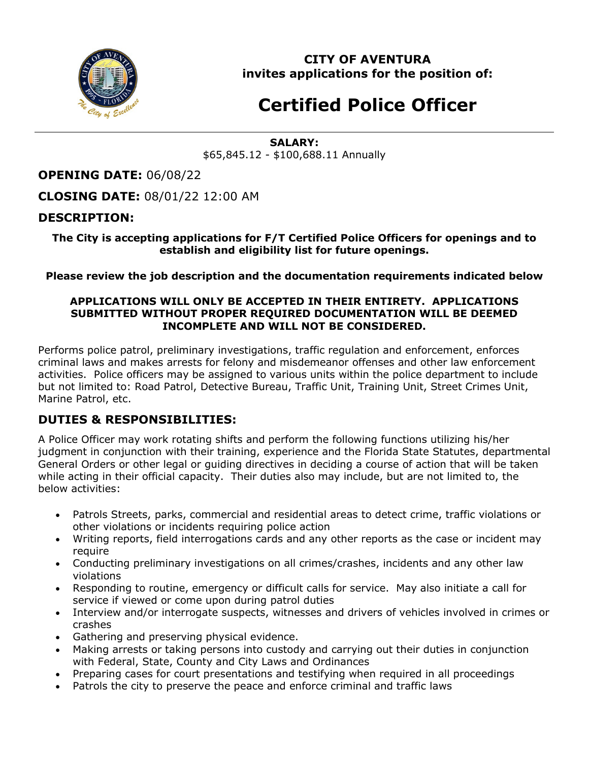

**CITY OF AVENTURA invites applications for the position of:**

# **Certified Police Officer**

#### **SALARY:** \$65,845.12 - \$100,688.11 Annually

**OPENING DATE:** 06/08/22

**CLOSING DATE:** 08/01/22 12:00 AM

## **DESCRIPTION:**

#### **The City is accepting applications for F/T Certified Police Officers for openings and to establish and eligibility list for future openings.**

#### **Please review the job description and the documentation requirements indicated below**

#### **APPLICATIONS WILL ONLY BE ACCEPTED IN THEIR ENTIRETY. APPLICATIONS SUBMITTED WITHOUT PROPER REQUIRED DOCUMENTATION WILL BE DEEMED INCOMPLETE AND WILL NOT BE CONSIDERED.**

Performs police patrol, preliminary investigations, traffic regulation and enforcement, enforces criminal laws and makes arrests for felony and misdemeanor offenses and other law enforcement activities. Police officers may be assigned to various units within the police department to include but not limited to: Road Patrol, Detective Bureau, Traffic Unit, Training Unit, Street Crimes Unit, Marine Patrol, etc.

#### **DUTIES & RESPONSIBILITIES:**

A Police Officer may work rotating shifts and perform the following functions utilizing his/her judgment in conjunction with their training, experience and the Florida State Statutes, departmental General Orders or other legal or guiding directives in deciding a course of action that will be taken while acting in their official capacity. Their duties also may include, but are not limited to, the below activities:

- Patrols Streets, parks, commercial and residential areas to detect crime, traffic violations or other violations or incidents requiring police action
- Writing reports, field interrogations cards and any other reports as the case or incident may require
- Conducting preliminary investigations on all crimes/crashes, incidents and any other law violations
- Responding to routine, emergency or difficult calls for service. May also initiate a call for service if viewed or come upon during patrol duties
- Interview and/or interrogate suspects, witnesses and drivers of vehicles involved in crimes or crashes
- Gathering and preserving physical evidence.
- Making arrests or taking persons into custody and carrying out their duties in conjunction with Federal, State, County and City Laws and Ordinances
- Preparing cases for court presentations and testifying when required in all proceedings
- Patrols the city to preserve the peace and enforce criminal and traffic laws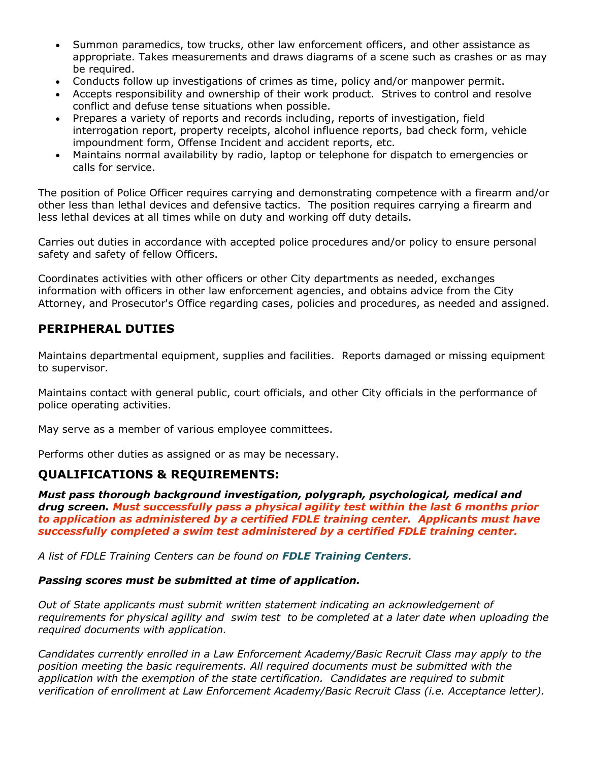- Summon paramedics, tow trucks, other law enforcement officers, and other assistance as appropriate. Takes measurements and draws diagrams of a scene such as crashes or as may be required.
- Conducts follow up investigations of crimes as time, policy and/or manpower permit.
- Accepts responsibility and ownership of their work product. Strives to control and resolve conflict and defuse tense situations when possible.
- Prepares a variety of reports and records including, reports of investigation, field interrogation report, property receipts, alcohol influence reports, bad check form, vehicle impoundment form, Offense Incident and accident reports, etc.
- Maintains normal availability by radio, laptop or telephone for dispatch to emergencies or calls for service.

The position of Police Officer requires carrying and demonstrating competence with a firearm and/or other less than lethal devices and defensive tactics. The position requires carrying a firearm and less lethal devices at all times while on duty and working off duty details.

Carries out duties in accordance with accepted police procedures and/or policy to ensure personal safety and safety of fellow Officers.

Coordinates activities with other officers or other City departments as needed, exchanges information with officers in other law enforcement agencies, and obtains advice from the City Attorney, and Prosecutor's Office regarding cases, policies and procedures, as needed and assigned.

## **PERIPHERAL DUTIES**

Maintains departmental equipment, supplies and facilities. Reports damaged or missing equipment to supervisor.

Maintains contact with general public, court officials, and other City officials in the performance of police operating activities.

May serve as a member of various employee committees.

Performs other duties as assigned or as may be necessary.

## **QUALIFICATIONS & REQUIREMENTS:**

*Must pass thorough background investigation, polygraph, psychological, medical and drug screen. Must successfully pass a physical agility test within the last 6 months prior to application as administered by a certified FDLE training center. Applicants must have successfully completed a swim test administered by a certified FDLE training center.*

*A list of FDLE Training Centers can be found on [FDLE Training Centers](http://www.fdle.state.fl.us/CJSTC/Training-Resources/Training-Centers.aspx)*.

#### *Passing scores must be submitted at time of application.*

*Out of State applicants must submit written statement indicating an acknowledgement of requirements for physical agility and swim test to be completed at a later date when uploading the required documents with application.*

*Candidates currently enrolled in a Law Enforcement Academy/Basic Recruit Class may apply to the position meeting the basic requirements. All required documents must be submitted with the application with the exemption of the state certification. Candidates are required to submit verification of enrollment at Law Enforcement Academy/Basic Recruit Class (i.e. Acceptance letter).*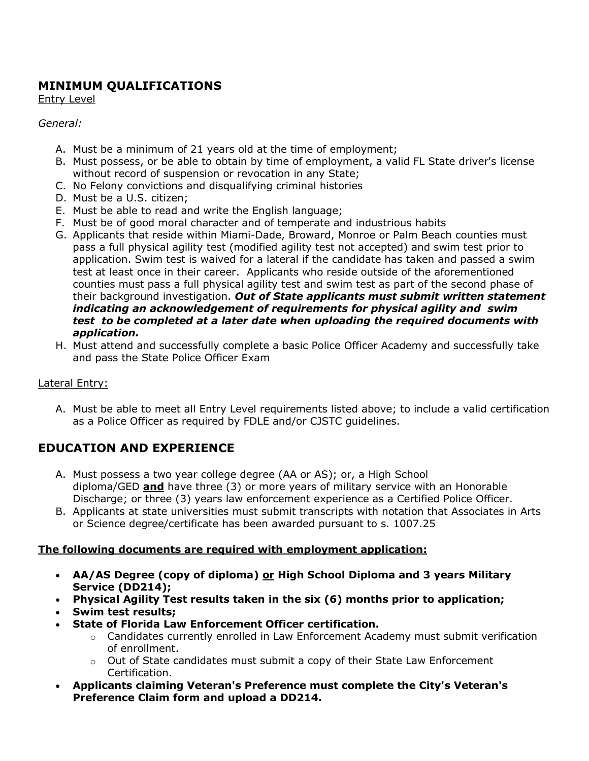# **MINIMUM QUALIFICATIONS**

Entry Level

#### *General:*

- A. Must be a minimum of 21 years old at the time of employment;
- B. Must possess, or be able to obtain by time of employment, a valid FL State driver's license without record of suspension or revocation in any State;
- C. No Felony convictions and disqualifying criminal histories
- D. Must be a U.S. citizen;
- E. Must be able to read and write the English language;
- F. Must be of good moral character and of temperate and industrious habits
- G. Applicants that reside within Miami-Dade, Broward, Monroe or Palm Beach counties must pass a full physical agility test (modified agility test not accepted) and swim test prior to application. Swim test is waived for a lateral if the candidate has taken and passed a swim test at least once in their career. Applicants who reside outside of the aforementioned counties must pass a full physical agility test and swim test as part of the second phase of their background investigation. *Out of State applicants must submit written statement indicating an acknowledgement of requirements for physical agility and swim test to be completed at a later date when uploading the required documents with application.*
- H. Must attend and successfully complete a basic Police Officer Academy and successfully take and pass the State Police Officer Exam

## Lateral Entry:

A. Must be able to meet all Entry Level requirements listed above; to include a valid certification as a Police Officer as required by FDLE and/or CJSTC guidelines.

# **EDUCATION AND EXPERIENCE**

- A. Must possess a two year college degree (AA or AS); or, a High School diploma/GED **and** have three (3) or more years of military service with an Honorable Discharge; or three (3) years law enforcement experience as a Certified Police Officer.
- B. Applicants at state universities must submit transcripts with notation that Associates in Arts or Science degree/certificate has been awarded pursuant to s. 1007.25

## **The following documents are required with employment application:**

- **AA/AS Degree (copy of diploma) or High School Diploma and 3 years Military Service (DD214);**
- **Physical Agility Test results taken in the six (6) months prior to application;**
- **Swim test results;**
- **State of Florida Law Enforcement Officer certification.**
	- $\circ$  Candidates currently enrolled in Law Enforcement Academy must submit verification of enrollment.
	- o Out of State candidates must submit a copy of their State Law Enforcement Certification.
- **Applicants claiming Veteran's Preference must complete the City's Veteran's Preference Claim form and upload a DD214.**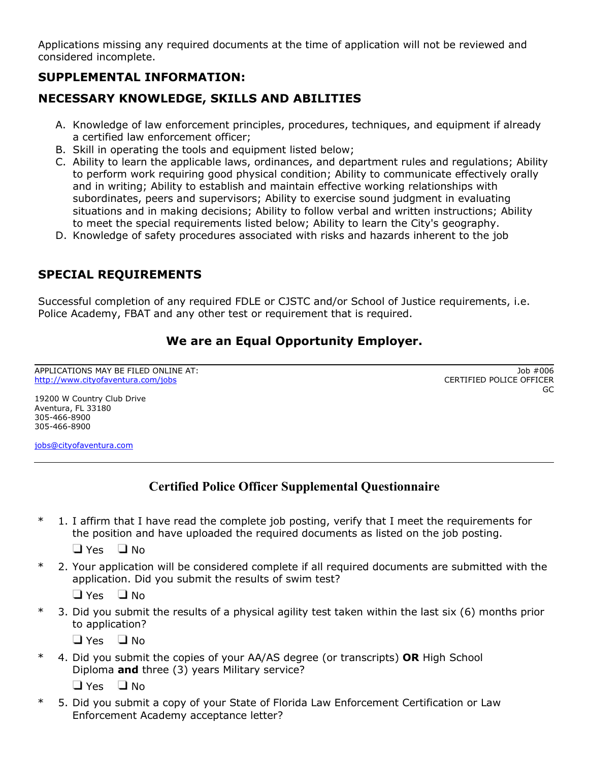Applications missing any required documents at the time of application will not be reviewed and considered incomplete.

# **SUPPLEMENTAL INFORMATION:**

# **NECESSARY KNOWLEDGE, SKILLS AND ABILITIES**

- A. Knowledge of law enforcement principles, procedures, techniques, and equipment if already a certified law enforcement officer;
- B. Skill in operating the tools and equipment listed below;
- C. Ability to learn the applicable laws, ordinances, and department rules and regulations; Ability to perform work requiring good physical condition; Ability to communicate effectively orally and in writing; Ability to establish and maintain effective working relationships with subordinates, peers and supervisors; Ability to exercise sound judgment in evaluating situations and in making decisions; Ability to follow verbal and written instructions; Ability to meet the special requirements listed below; Ability to learn the City's geography.
- D. Knowledge of safety procedures associated with risks and hazards inherent to the job

# **SPECIAL REQUIREMENTS**

Successful completion of any required FDLE or CJSTC and/or School of Justice requirements, i.e. Police Academy, FBAT and any other test or requirement that is required.

# **We are an Equal Opportunity Employer.**

APPLICATIONS MAY BE FILED ONLINE AT: <http://www.cityofaventura.com/jobs>

Job #006 CERTIFIED POLICE OFFICER GC

19200 W Country Club Drive Aventura, FL 33180 305-466-8900 305-466-8900

[jobs@cityofaventura.com](mailto:jobs@cityofaventura.com)

# **Certified Police Officer Supplemental Questionnaire**

 $*$  1. I affirm that I have read the complete job posting, verify that I meet the requirements for the position and have uploaded the required documents as listed on the job posting.

 $\Box$  Yes  $\Box$  No

\* 2. Your application will be considered complete if all required documents are submitted with the application. Did you submit the results of swim test?

 $\Box$  Yes  $\Box$  No

\* 3. Did you submit the results of a physical agility test taken within the last six (6) months prior to application?

 $\Box$  Yes  $\Box$  No

\* 4. Did you submit the copies of your AA/AS degree (or transcripts) **OR** High School Diploma **and** three (3) years Military service?

 $\Box$  Yes  $\Box$  No

\* 5. Did you submit a copy of your State of Florida Law Enforcement Certification or Law Enforcement Academy acceptance letter?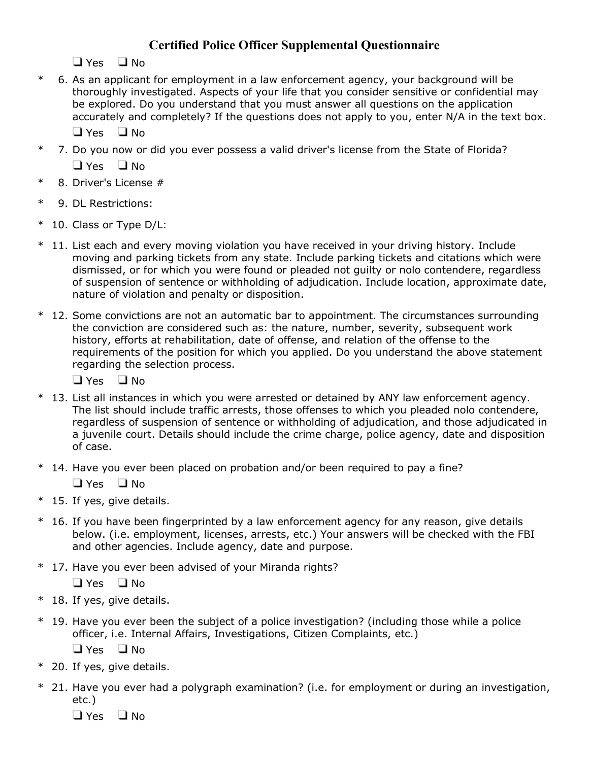# **Certified Police Officer Supplemental Questionnaire**

 $\Box$  Yes  $\Box$  No

\* 6. As an applicant for employment in a law enforcement agency, your background will be thoroughly investigated. Aspects of your life that you consider sensitive or confidential may be explored. Do you understand that you must answer all questions on the application accurately and completely? If the questions does not apply to you, enter N/A in the text box.

 $\Box$  Yes  $\Box$  No

- \* 7. Do you now or did you ever possess a valid driver's license from the State of Florida?  $\Box$  Yes  $\Box$  No.
- \* 8. Driver's License #
- \* 9. DL Restrictions:
- \* 10. Class or Type D/L:
- \* 11. List each and every moving violation you have received in your driving history. Include moving and parking tickets from any state. Include parking tickets and citations which were dismissed, or for which you were found or pleaded not guilty or nolo contendere, regardless of suspension of sentence or withholding of adjudication. Include location, approximate date, nature of violation and penalty or disposition.
- $*$  12. Some convictions are not an automatic bar to appointment. The circumstances surrounding the conviction are considered such as: the nature, number, severity, subsequent work history, efforts at rehabilitation, date of offense, and relation of the offense to the requirements of the position for which you applied. Do you understand the above statement regarding the selection process.

 $\Box$  Yes  $\Box$  No

- \* 13. List all instances in which you were arrested or detained by ANY law enforcement agency. The list should include traffic arrests, those offenses to which you pleaded nolo contendere, regardless of suspension of sentence or withholding of adjudication, and those adjudicated in a juvenile court. Details should include the crime charge, police agency, date and disposition of case.
- \* 14. Have you ever been placed on probation and/or been required to pay a fine?

 $\Box$  Yes  $\Box$  No

- \* 15. If yes, give details.
- $*$  16. If you have been fingerprinted by a law enforcement agency for any reason, give details below. (i.e. employment, licenses, arrests, etc.) Your answers will be checked with the FBI and other agencies. Include agency, date and purpose.
- \* 17. Have you ever been advised of your Miranda rights?

 $\Box$  Yes  $\Box$  No

- \* 18. If yes, give details.
- \* 19. Have you ever been the subject of a police investigation? (including those while a police officer, i.e. Internal Affairs, Investigations, Citizen Complaints, etc.)

 $\Box$  Yes  $\Box$  No.

- \* 20. If yes, give details.
- \* 21. Have you ever had a polygraph examination? (i.e. for employment or during an investigation, etc.)

 $\Box$  Yes  $\Box$  No